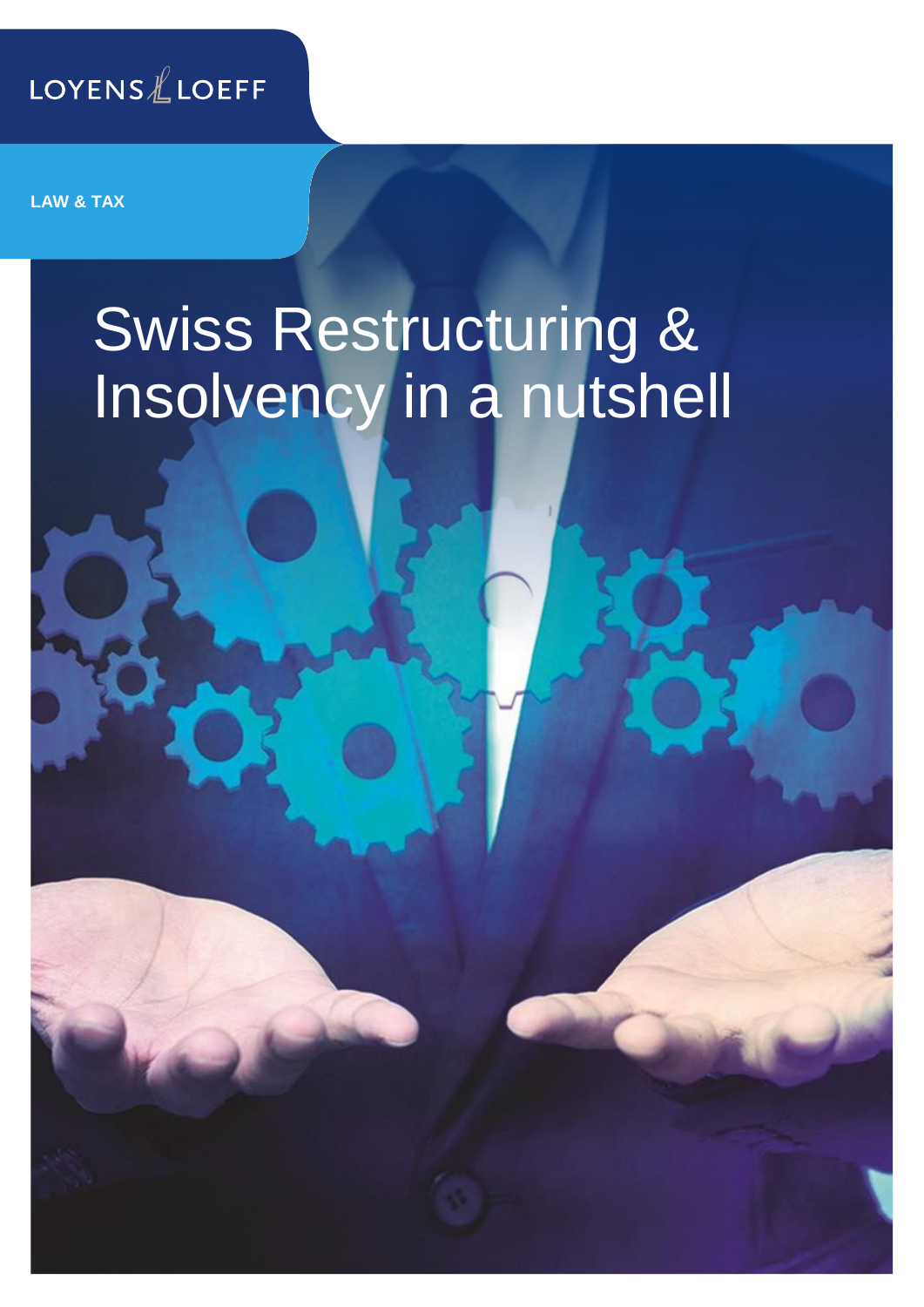

**LAW & TAX**

# Swiss Restructuring & Insolvency in a nutshell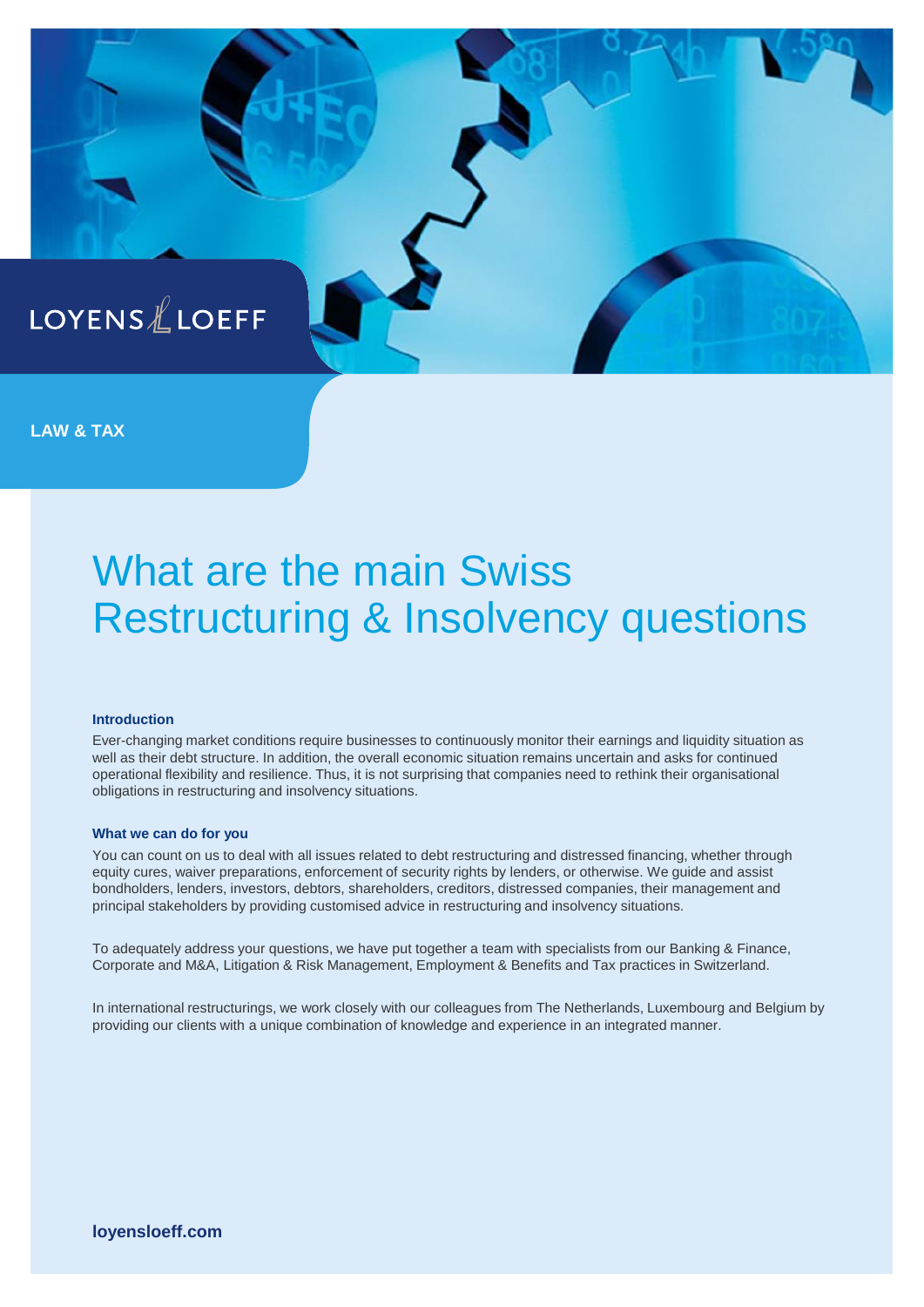

**LAW & TAX**

# What are the main Swiss Restructuring & Insolvency questions

#### **Introduction**

Ever-changing market conditions require businesses to continuously monitor their earnings and liquidity situation as well as their debt structure. In addition, the overall economic situation remains uncertain and asks for continued operational flexibility and resilience. Thus, it is not surprising that companies need to rethink their organisational obligations in restructuring and insolvency situations.

#### **What we can do for you**

You can count on us to deal with all issues related to debt restructuring and distressed financing, whether through equity cures, waiver preparations, enforcement of security rights by lenders, or otherwise. We guide and assist bondholders, lenders, investors, debtors, shareholders, creditors, distressed companies, their management and principal stakeholders by providing customised advice in restructuring and insolvency situations.

To adequately address your questions, we have put together a team with specialists from our Banking & Finance, Corporate and M&A, Litigation & Risk Management, Employment & Benefits and Tax practices in Switzerland.

In international restructurings, we work closely with our colleagues from The Netherlands, Luxembourg and Belgium by providing our clients with a unique combination of knowledge and experience in an integrated manner.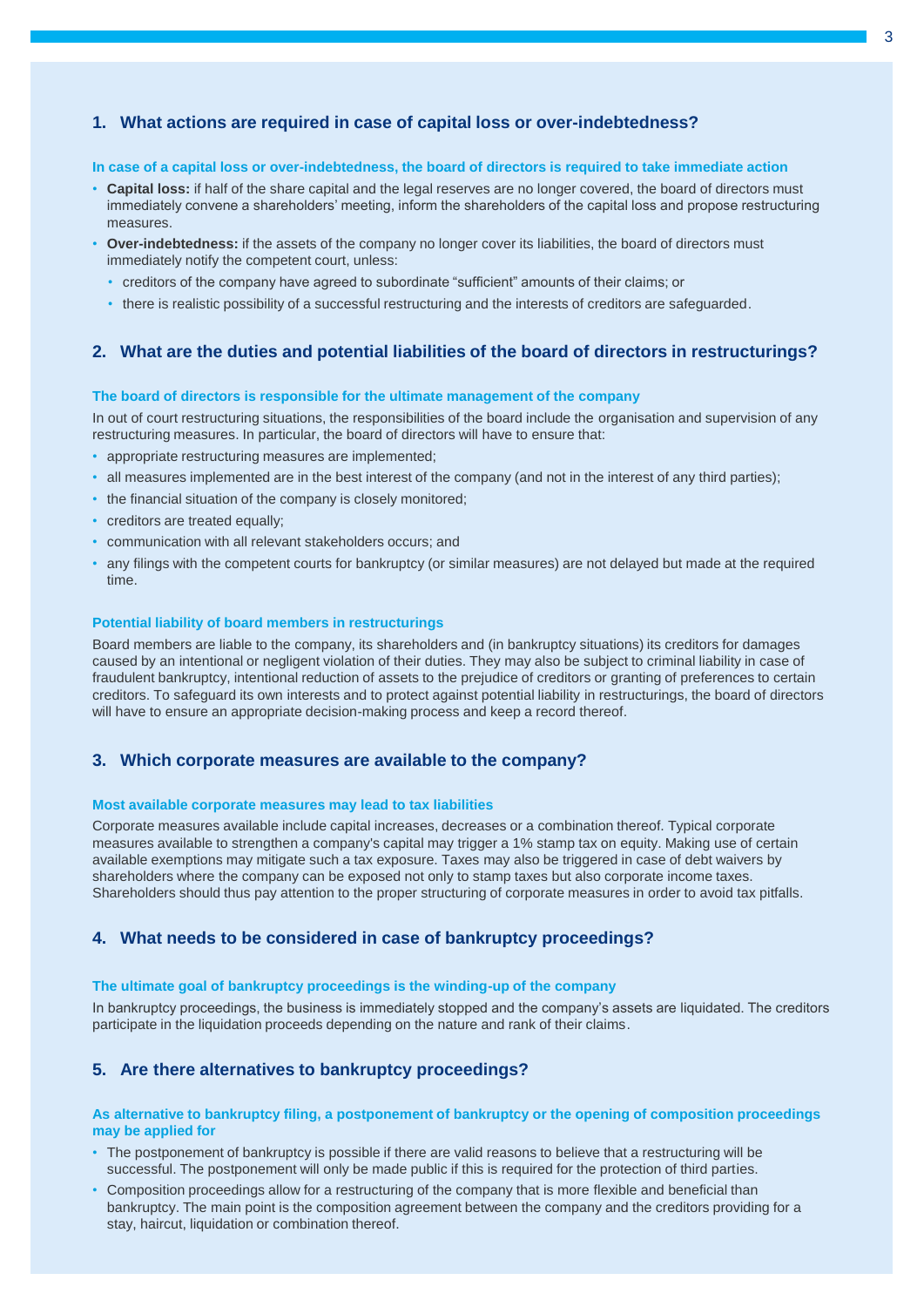## **1. What actions are required in case of capital loss or over-indebtedness?**

#### **In case of a capital loss or over-indebtedness, the board of directors is required to take immediate action**

- **Capital loss:** if half of the share capital and the legal reserves are no longer covered, the board of directors must immediately convene a shareholders' meeting, inform the shareholders of the capital loss and propose restructuring measures.
- **Over-indebtedness:** if the assets of the company no longer cover its liabilities, the board of directors must immediately notify the competent court, unless:
	- creditors of the company have agreed to subordinate "sufficient" amounts of their claims; or
	- there is realistic possibility of a successful restructuring and the interests of creditors are safeguarded.

#### **2. What are the duties and potential liabilities of the board of directors in restructurings?**

#### **The board of directors is responsible for the ultimate management of the company**

In out of court restructuring situations, the responsibilities of the board include the organisation and supervision of any restructuring measures. In particular, the board of directors will have to ensure that:

- appropriate restructuring measures are implemented;
- all measures implemented are in the best interest of the company (and not in the interest of any third parties);
- the financial situation of the company is closely monitored;
- creditors are treated equally;
- communication with all relevant stakeholders occurs; and
- any filings with the competent courts for bankruptcy (or similar measures) are not delayed but made at the required time.

#### **Potential liability of board members in restructurings**

Board members are liable to the company, its shareholders and (in bankruptcy situations) its creditors for damages caused by an intentional or negligent violation of their duties. They may also be subject to criminal liability in case of fraudulent bankruptcy, intentional reduction of assets to the prejudice of creditors or granting of preferences to certain creditors. To safeguard its own interests and to protect against potential liability in restructurings, the board of directors will have to ensure an appropriate decision-making process and keep a record thereof.

#### **3. Which corporate measures are available to the company?**

#### **Most available corporate measures may lead to tax liabilities**

Corporate measures available include capital increases, decreases or a combination thereof. Typical corporate measures available to strengthen a company's capital may trigger a 1% stamp tax on equity. Making use of certain available exemptions may mitigate such a tax exposure. Taxes may also be triggered in case of debt waivers by shareholders where the company can be exposed not only to stamp taxes but also corporate income taxes. Shareholders should thus pay attention to the proper structuring of corporate measures in order to avoid tax pitfalls.

#### **4. What needs to be considered in case of bankruptcy proceedings?**

#### **The ultimate goal of bankruptcy proceedings is the winding-up of the company**

In bankruptcy proceedings, the business is immediately stopped and the company's assets are liquidated. The creditors participate in the liquidation proceeds depending on the nature and rank of their claims.

#### **5. Are there alternatives to bankruptcy proceedings?**

#### **As alternative to bankruptcy filing, a postponement of bankruptcy or the opening of composition proceedings may be applied for**

- The postponement of bankruptcy is possible if there are valid reasons to believe that a restructuring will be successful. The postponement will only be made public if this is required for the protection of third parties.
- Composition proceedings allow for a restructuring of the company that is more flexible and beneficial than bankruptcy. The main point is the composition agreement between the company and the creditors providing for a stay, haircut, liquidation or combination thereof.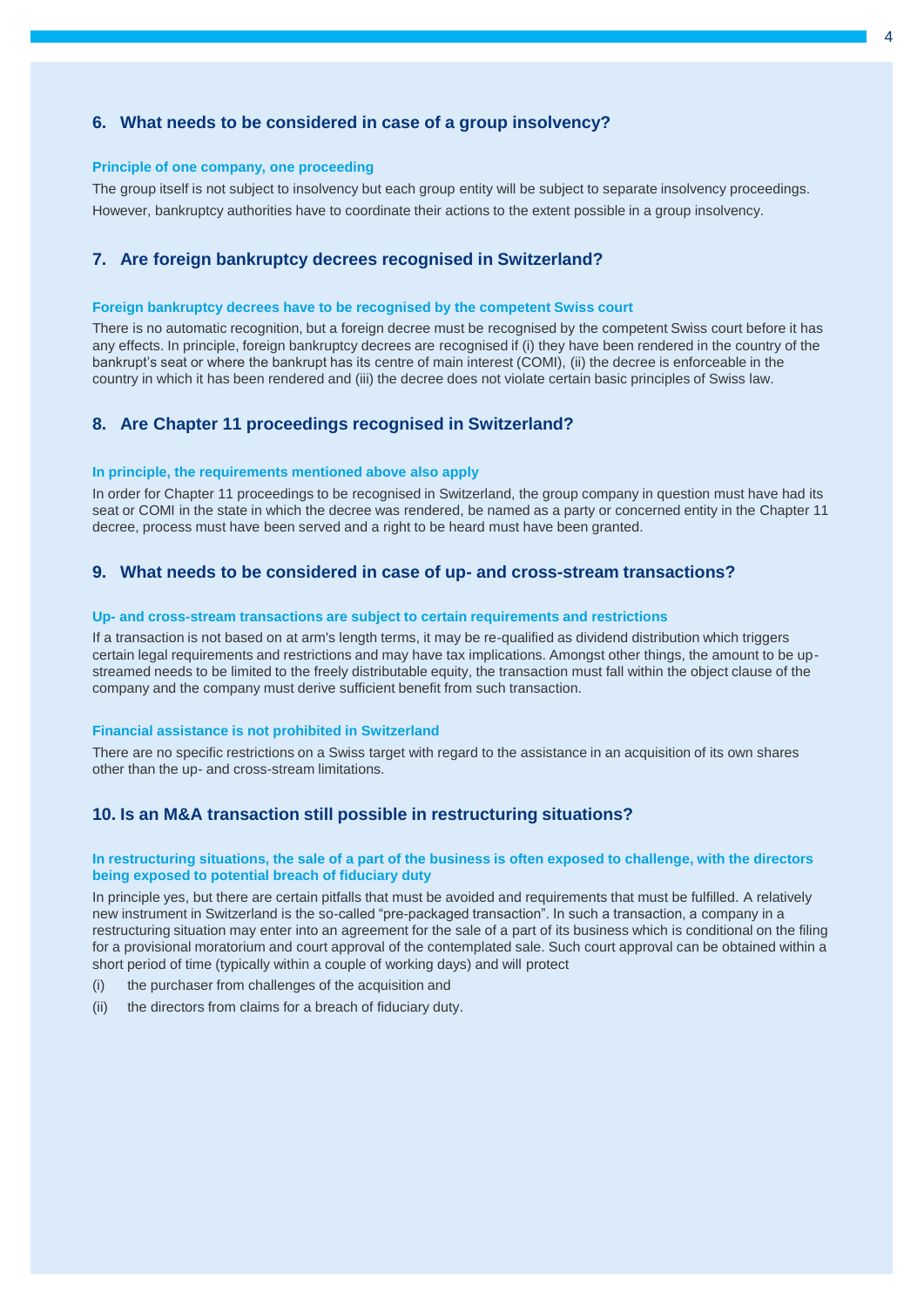### **6. What needs to be considered in case of a group insolvency?**

#### **Principle of one company, one proceeding**

The group itself is not subject to insolvency but each group entity will be subject to separate insolvency proceedings. However, bankruptcy authorities have to coordinate their actions to the extent possible in a group insolvency.

#### **7. Are foreign bankruptcy decrees recognised in Switzerland?**

#### **Foreign bankruptcy decrees have to be recognised by the competent Swiss court**

There is no automatic recognition, but a foreign decree must be recognised by the competent Swiss court before it has any effects. In principle, foreign bankruptcy decrees are recognised if (i) they have been rendered in the country of the bankrupt's seat or where the bankrupt has its centre of main interest (COMI), (ii) the decree is enforceable in the country in which it has been rendered and (iii) the decree does not violate certain basic principles of Swiss law.

# **8. Are Chapter 11 proceedings recognised in Switzerland?**

#### **In principle, the requirements mentioned above also apply**

In order for Chapter 11 proceedings to be recognised in Switzerland, the group company in question must have had its seat or COMI in the state in which the decree was rendered, be named as a party or concerned entity in the Chapter 11 decree, process must have been served and a right to be heard must have been granted.

## **9. What needs to be considered in case of up- and cross-stream transactions?**

#### **Up- and cross-stream transactions are subject to certain requirements and restrictions**

If a transaction is not based on at arm's length terms, it may be re-qualified as dividend distribution which triggers certain legal requirements and restrictions and may have tax implications. Amongst other things, the amount to be upstreamed needs to be limited to the freely distributable equity, the transaction must fall within the object clause of the company and the company must derive sufficient benefit from such transaction.

#### **Financial assistance is not prohibited in Switzerland**

There are no specific restrictions on a Swiss target with regard to the assistance in an acquisition of its own shares other than the up- and cross-stream limitations.

#### **10. Is an M&A transaction still possible in restructuring situations?**

#### **In restructuring situations, the sale of a part of the business is often exposed to challenge, with the directors being exposed to potential breach of fiduciary duty**

In principle yes, but there are certain pitfalls that must be avoided and requirements that must be fulfilled. A relatively new instrument in Switzerland is the so-called "pre-packaged transaction". In such a transaction, a company in a restructuring situation may enter into an agreement for the sale of a part of its business which is conditional on the filing for a provisional moratorium and court approval of the contemplated sale. Such court approval can be obtained within a short period of time (typically within a couple of working days) and will protect

- (i) the purchaser from challenges of the acquisition and
- (ii) the directors from claims for a breach of fiduciary duty.